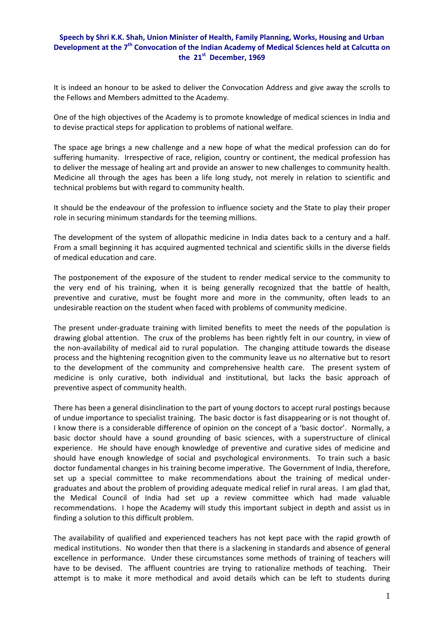## **Speech by Shri K.K. Shah, Union Minister of Health, Family Planning, Works, Housing and Urban Development at the 7th Convocation of the Indian Academy of Medical Sciences held at Calcutta on the 21st December, 1969**

It is indeed an honour to be asked to deliver the Convocation Address and give away the scrolls to the Fellows and Members admitted to the Academy.

One of the high objectives of the Academy is to promote knowledge of medical sciences in India and to devise practical steps for application to problems of national welfare.

The space age brings a new challenge and a new hope of what the medical profession can do for suffering humanity. Irrespective of race, religion, country or continent, the medical profession has to deliver the message of healing art and provide an answer to new challenges to community health. Medicine all through the ages has been a life long study, not merely in relation to scientific and technical problems but with regard to community health.

It should be the endeavour of the profession to influence society and the State to play their proper role in securing minimum standards for the teeming millions.

The development of the system of allopathic medicine in India dates back to a century and a half. From a small beginning it has acquired augmented technical and scientific skills in the diverse fields of medical education and care.

The postponement of the exposure of the student to render medical service to the community to the very end of his training, when it is being generally recognized that the battle of health, preventive and curative, must be fought more and more in the community, often leads to an undesirable reaction on the student when faced with problems of community medicine.

The present under‐graduate training with limited benefits to meet the needs of the population is drawing global attention. The crux of the problems has been rightly felt in our country, in view of the non‐availability of medical aid to rural population. The changing attitude towards the disease process and the hightening recognition given to the community leave us no alternative but to resort to the development of the community and comprehensive health care. The present system of medicine is only curative, both individual and institutional, but lacks the basic approach of preventive aspect of community health.

There has been a general disinclination to the part of young doctors to accept rural postings because of undue importance to specialist training. The basic doctor is fast disappearing or is not thought of. I know there is a considerable difference of opinion on the concept of a 'basic doctor'. Normally, a basic doctor should have a sound grounding of basic sciences, with a superstructure of clinical experience. He should have enough knowledge of preventive and curative sides of medicine and should have enough knowledge of social and psychological environments. To train such a basic doctor fundamental changes in his training become imperative. The Government of India, therefore, set up a special committee to make recommendations about the training of medical under‐ graduates and about the problem of providing adequate medical relief in rural areas. I am glad that, the Medical Council of India had set up a review committee which had made valuable recommendations. I hope the Academy will study this important subject in depth and assist us in finding a solution to this difficult problem.

The availability of qualified and experienced teachers has not kept pace with the rapid growth of medical institutions. No wonder then that there is a slackening in standards and absence of general excellence in performance. Under these circumstances some methods of training of teachers will have to be devised. The affluent countries are trying to rationalize methods of teaching. Their attempt is to make it more methodical and avoid details which can be left to students during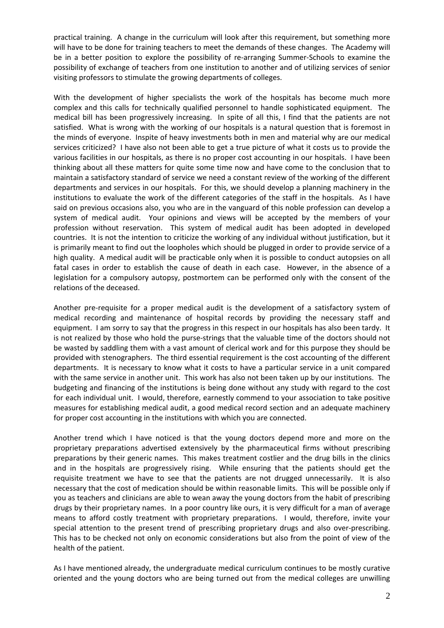practical training. A change in the curriculum will look after this requirement, but something more will have to be done for training teachers to meet the demands of these changes. The Academy will be in a better position to explore the possibility of re-arranging Summer-Schools to examine the possibility of exchange of teachers from one institution to another and of utilizing services of senior visiting professors to stimulate the growing departments of colleges.

With the development of higher specialists the work of the hospitals has become much more complex and this calls for technically qualified personnel to handle sophisticated equipment. The medical bill has been progressively increasing. In spite of all this, I find that the patients are not satisfied. What is wrong with the working of our hospitals is a natural question that is foremost in the minds of everyone. Inspite of heavy investments both in men and material why are our medical services criticized? I have also not been able to get a true picture of what it costs us to provide the various facilities in our hospitals, as there is no proper cost accounting in our hospitals. I have been thinking about all these matters for quite some time now and have come to the conclusion that to maintain a satisfactory standard of service we need a constant review of the working of the different departments and services in our hospitals. For this, we should develop a planning machinery in the institutions to evaluate the work of the different categories of the staff in the hospitals. As I have said on previous occasions also, you who are in the vanguard of this noble profession can develop a system of medical audit. Your opinions and views will be accepted by the members of your profession without reservation. This system of medical audit has been adopted in developed countries. It is not the intention to criticize the working of any individual without justification, but it is primarily meant to find out the loopholes which should be plugged in order to provide service of a high quality. A medical audit will be practicable only when it is possible to conduct autopsies on all fatal cases in order to establish the cause of death in each case. However, in the absence of a legislation for a compulsory autopsy, postmortem can be performed only with the consent of the relations of the deceased.

Another pre‐requisite for a proper medical audit is the development of a satisfactory system of medical recording and maintenance of hospital records by providing the necessary staff and equipment. I am sorry to say that the progress in this respect in our hospitals has also been tardy. It is not realized by those who hold the purse-strings that the valuable time of the doctors should not be wasted by saddling them with a vast amount of clerical work and for this purpose they should be provided with stenographers. The third essential requirement is the cost accounting of the different departments. It is necessary to know what it costs to have a particular service in a unit compared with the same service in another unit. This work has also not been taken up by our institutions. The budgeting and financing of the institutions is being done without any study with regard to the cost for each individual unit. I would, therefore, earnestly commend to your association to take positive measures for establishing medical audit, a good medical record section and an adequate machinery for proper cost accounting in the institutions with which you are connected.

Another trend which I have noticed is that the young doctors depend more and more on the proprietary preparations advertised extensively by the pharmaceutical firms without prescribing preparations by their generic names. This makes treatment costlier and the drug bills in the clinics and in the hospitals are progressively rising. While ensuring that the patients should get the requisite treatment we have to see that the patients are not drugged unnecessarily. It is also necessary that the cost of medication should be within reasonable limits. This will be possible only if you as teachers and clinicians are able to wean away the young doctors from the habit of prescribing drugs by their proprietary names. In a poor country like ours, it is very difficult for a man of average means to afford costly treatment with proprietary preparations. I would, therefore, invite your special attention to the present trend of prescribing proprietary drugs and also over-prescribing. This has to be checked not only on economic considerations but also from the point of view of the health of the patient.

As I have mentioned already, the undergraduate medical curriculum continues to be mostly curative oriented and the young doctors who are being turned out from the medical colleges are unwilling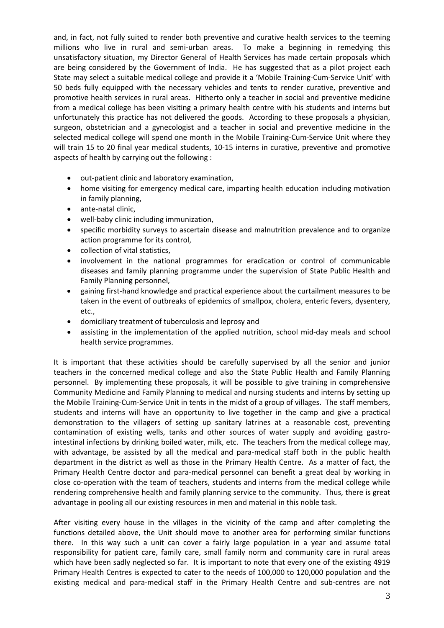and, in fact, not fully suited to render both preventive and curative health services to the teeming millions who live in rural and semi-urban areas. To make a beginning in remedying this unsatisfactory situation, my Director General of Health Services has made certain proposals which are being considered by the Government of India. He has suggested that as a pilot project each State may select a suitable medical college and provide it a 'Mobile Training‐Cum‐Service Unit' with 50 beds fully equipped with the necessary vehicles and tents to render curative, preventive and promotive health services in rural areas. Hitherto only a teacher in social and preventive medicine from a medical college has been visiting a primary health centre with his students and interns but unfortunately this practice has not delivered the goods. According to these proposals a physician, surgeon, obstetrician and a gynecologist and a teacher in social and preventive medicine in the selected medical college will spend one month in the Mobile Training-Cum-Service Unit where they will train 15 to 20 final year medical students, 10-15 interns in curative, preventive and promotive aspects of health by carrying out the following :

- out‐patient clinic and laboratory examination,
- home visiting for emergency medical care, imparting health education including motivation in family planning,
- ante-natal clinic.
- well-baby clinic including immunization,
- specific morbidity surveys to ascertain disease and malnutrition prevalence and to organize action programme for its control,
- collection of vital statistics.
- involvement in the national programmes for eradication or control of communicable diseases and family planning programme under the supervision of State Public Health and Family Planning personnel,
- gaining first‐hand knowledge and practical experience about the curtailment measures to be taken in the event of outbreaks of epidemics of smallpox, cholera, enteric fevers, dysentery, etc.,
- domiciliary treatment of tuberculosis and leprosy and
- assisting in the implementation of the applied nutrition, school mid‐day meals and school health service programmes.

It is important that these activities should be carefully supervised by all the senior and junior teachers in the concerned medical college and also the State Public Health and Family Planning personnel. By implementing these proposals, it will be possible to give training in comprehensive Community Medicine and Family Planning to medical and nursing students and interns by setting up the Mobile Training‐Cum‐Service Unit in tents in the midst of a group of villages. The staff members, students and interns will have an opportunity to live together in the camp and give a practical demonstration to the villagers of setting up sanitary latrines at a reasonable cost, preventing contamination of existing wells, tanks and other sources of water supply and avoiding gastrointestinal infections by drinking boiled water, milk, etc. The teachers from the medical college may, with advantage, be assisted by all the medical and para-medical staff both in the public health department in the district as well as those in the Primary Health Centre. As a matter of fact, the Primary Health Centre doctor and para‐medical personnel can benefit a great deal by working in close co‐operation with the team of teachers, students and interns from the medical college while rendering comprehensive health and family planning service to the community. Thus, there is great advantage in pooling all our existing resources in men and material in this noble task.

After visiting every house in the villages in the vicinity of the camp and after completing the functions detailed above, the Unit should move to another area for performing similar functions there. In this way such a unit can cover a fairly large population in a year and assume total responsibility for patient care, family care, small family norm and community care in rural areas which have been sadly neglected so far. It is important to note that every one of the existing 4919 Primary Health Centres is expected to cater to the needs of 100,000 to 120,000 population and the existing medical and para-medical staff in the Primary Health Centre and sub-centres are not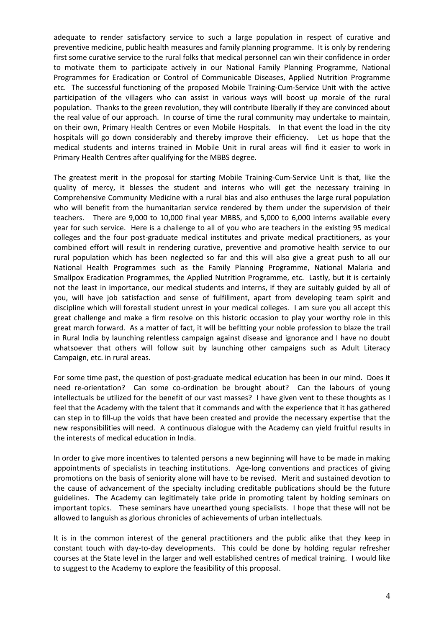adequate to render satisfactory service to such a large population in respect of curative and preventive medicine, public health measures and family planning programme. It is only by rendering first some curative service to the rural folks that medical personnel can win their confidence in order to motivate them to participate actively in our National Family Planning Programme, National Programmes for Eradication or Control of Communicable Diseases, Applied Nutrition Programme etc. The successful functioning of the proposed Mobile Training‐Cum‐Service Unit with the active participation of the villagers who can assist in various ways will boost up morale of the rural population. Thanks to the green revolution, they will contribute liberally if they are convinced about the real value of our approach. In course of time the rural community may undertake to maintain, on their own, Primary Health Centres or even Mobile Hospitals. In that event the load in the city hospitals will go down considerably and thereby improve their efficiency. Let us hope that the medical students and interns trained in Mobile Unit in rural areas will find it easier to work in Primary Health Centres after qualifying for the MBBS degree.

The greatest merit in the proposal for starting Mobile Training‐Cum‐Service Unit is that, like the quality of mercy, it blesses the student and interns who will get the necessary training in Comprehensive Community Medicine with a rural bias and also enthuses the large rural population who will benefit from the humanitarian service rendered by them under the supervision of their teachers. There are 9,000 to 10,000 final year MBBS, and 5,000 to 6,000 interns available every year for such service. Here is a challenge to all of you who are teachers in the existing 95 medical colleges and the four post‐graduate medical institutes and private medical practitioners, as your combined effort will result in rendering curative, preventive and promotive health service to our rural population which has been neglected so far and this will also give a great push to all our National Health Programmes such as the Family Planning Programme, National Malaria and Smallpox Eradication Programmes, the Applied Nutrition Programme, etc. Lastly, but it is certainly not the least in importance, our medical students and interns, if they are suitably guided by all of you, will have job satisfaction and sense of fulfillment, apart from developing team spirit and discipline which will forestall student unrest in your medical colleges. I am sure you all accept this great challenge and make a firm resolve on this historic occasion to play your worthy role in this great march forward. As a matter of fact, it will be befitting your noble profession to blaze the trail in Rural India by launching relentless campaign against disease and ignorance and I have no doubt whatsoever that others will follow suit by launching other campaigns such as Adult Literacy Campaign, etc. in rural areas.

For some time past, the question of post-graduate medical education has been in our mind. Does it need re-orientation? Can some co-ordination be brought about? Can the labours of young intellectuals be utilized for the benefit of our vast masses? I have given vent to these thoughts as I feel that the Academy with the talent that it commands and with the experience that it has gathered can step in to fill‐up the voids that have been created and provide the necessary expertise that the new responsibilities will need. A continuous dialogue with the Academy can yield fruitful results in the interests of medical education in India.

In order to give more incentives to talented persons a new beginning will have to be made in making appointments of specialists in teaching institutions. Age‐long conventions and practices of giving promotions on the basis of seniority alone will have to be revised. Merit and sustained devotion to the cause of advancement of the specialty including creditable publications should be the future guidelines. The Academy can legitimately take pride in promoting talent by holding seminars on important topics. These seminars have unearthed young specialists. I hope that these will not be allowed to languish as glorious chronicles of achievements of urban intellectuals.

It is in the common interest of the general practitioners and the public alike that they keep in constant touch with day‐to‐day developments. This could be done by holding regular refresher courses at the State level in the larger and well established centres of medical training. I would like to suggest to the Academy to explore the feasibility of this proposal.